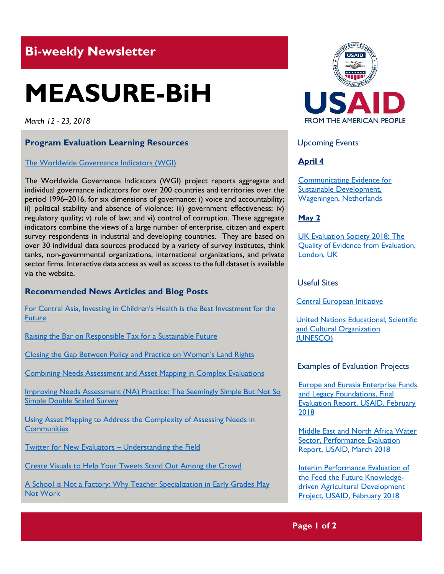# **Bi-weekly Newsletter**

# **MEASURE-BiH**

*March 12 - 23, 2018*

#### **Program Evaluation Learning Resources**

#### [The Worldwide Governance Indicators \(WGI\)](http://info.worldbank.org/governance/wgi/#home)

The Worldwide Governance Indicators (WGI) project reports aggregate and individual governance indicators for over 200 countries and territories over the period 1996–2016, for six dimensions of governance: i) voice and accountability; ii) political stability and absence of violence; iii) government effectiveness; iv) regulatory quality; v) rule of law; and vi) control of corruption. These aggregate indicators combine the views of a large number of enterprise, citizen and expert survey respondents in industrial and developing countries. They are based on over 30 individual data sources produced by a variety of survey institutes, think tanks, non-governmental organizations, international organizations, and private sector firms. Interactive data access as well as access to the full dataset is available via the website.

#### **Recommended News Articles and Blog Posts**

[For Central Asia, Investing in Children's Health is the Best Investment for the](https://blogs.worldbank.org/europeandcentralasia/central-asia-investing-children-s-health-best-investment-future)  **[Future](https://blogs.worldbank.org/europeandcentralasia/central-asia-investing-children-s-health-best-investment-future)** 

[Raising the Bar on Responsible Tax for a Sustainable Future](https://blogs.worldbank.org/governance/raising-bar-responsible-tax-sustainable-future)

[Closing the Gap Between Policy and Practice on Women's Land Rights](https://blogs.worldbank.org/developmenttalk/closing-gap-between-policy-and-practice-women-s-land-rights)

[Combining Needs Assessment and Asset Mapping in](http://aea365.org/blog/na-tig-week-combining-needs-assessment-and-asset-mapping-in-complex-evaluations-by-madhawa-mads-palihapitiya/?utm_source=feedburner&utm_medium=feed&utm_campaign=Feed%3A+aea365+%28AEA365%29) Complex Evaluations

[Improving Needs Assessment \(NA\) Practice: The Seemingly Simple But Not So](http://aea365.org/blog/na-tig-week-improving-needs-assessment-na-practice-the-seemingly-simple-but-not-so-simple-double-scaled-survey-by-james-w-altschuld-hsin-ling-sonya-hung-and-yi-fang-lee/?utm_source=feedburner&utm_medium=feed&utm_campaign=Feed%3A+aea365+%28AEA365%29)  [Simple Double Scaled Survey](http://aea365.org/blog/na-tig-week-improving-needs-assessment-na-practice-the-seemingly-simple-but-not-so-simple-double-scaled-survey-by-james-w-altschuld-hsin-ling-sonya-hung-and-yi-fang-lee/?utm_source=feedburner&utm_medium=feed&utm_campaign=Feed%3A+aea365+%28AEA365%29)

[Using Asset Mapping to Address the Complexity of Assessing Needs in](http://aea365.org/blog/na-tig-week-using-asset-mapping-to-address-the-complexity-of-assessing-needs-in-communities-by-lisle-hites/?utm_source=feedburner&utm_medium=feed&utm_campaign=Feed%3A+aea365+%28AEA365%29)  **[Communities](http://aea365.org/blog/na-tig-week-using-asset-mapping-to-address-the-complexity-of-assessing-needs-in-communities-by-lisle-hites/?utm_source=feedburner&utm_medium=feed&utm_campaign=Feed%3A+aea365+%28AEA365%29)** 

[Twitter for New Evaluators](http://aea365.org/blog/evaltwitter-week-twitter-for-new-evaluators-understanding-the-field-by-libby-smith/) – Understanding the Field

[Create Visuals to Help Your Tweets Stand Out Among the Crowd](http://aea365.org/blog/evaltwitter-week-create-visuals-to-help-your-tweets-stand-out-among-the-crowd-by-echo-rivera/)

[A School is Not a Factory: Why Teacher Specialization in](https://blogs.worldbank.org/developmenttalk/school-not-factory-why-teacher-specialization-early-grades-may-not-work) Early Grades May [Not Work](https://blogs.worldbank.org/developmenttalk/school-not-factory-why-teacher-specialization-early-grades-may-not-work)



#### Upcoming Events

### **April 4**

[Communicating Evidence for](http://www.managingforimpact.org/event/conference-communicating-evidence-sustainable-development)  [Sustainable Development,](http://www.managingforimpact.org/event/conference-communicating-evidence-sustainable-development)  [Wageningen, Netherlands](http://www.managingforimpact.org/event/conference-communicating-evidence-sustainable-development)

#### **May 2**

[UK Evaluation Society 2018: The](http://www.profbriefings.co.uk/ukes2018/index.html)  [Quality of Evidence from Evaluation,](http://www.profbriefings.co.uk/ukes2018/index.html)  [London, UK](http://www.profbriefings.co.uk/ukes2018/index.html) 

#### Useful Sites

[Central European Initiative](http://www.cei.int/)

[United Nations Educational, Scientific](https://en.unesco.org/)  [and Cultural Organization](https://en.unesco.org/)  [\(UNESCO\)](https://en.unesco.org/)

#### Examples of Evaluation Projects

[Europe and Eurasia Enterprise Funds](http://pdf.usaid.gov/pdf_docs/pa00stkc.pdf)  [and Legacy Foundations, Final](http://pdf.usaid.gov/pdf_docs/pa00stkc.pdf)  [Evaluation Report, USAID, February](http://pdf.usaid.gov/pdf_docs/pa00stkc.pdf)  [2018](http://pdf.usaid.gov/pdf_docs/pa00stkc.pdf)

[Middle East and North Africa Water](http://pdf.usaid.gov/pdf_docs/pa00sv81.pdf)  [Sector, Performance Evaluation](http://pdf.usaid.gov/pdf_docs/pa00sv81.pdf)  [Report, USAID, March 2018](http://pdf.usaid.gov/pdf_docs/pa00sv81.pdf)

[Interim Performance Evaluation of](http://pdf.usaid.gov/pdf_docs/pa00ssv2.pdf)  [the Feed the Future Knowledge](http://pdf.usaid.gov/pdf_docs/pa00ssv2.pdf)driven Agricultural Development [Project, USAID, February 2018](http://pdf.usaid.gov/pdf_docs/pa00ssv2.pdf)

**Page 1 of 2**